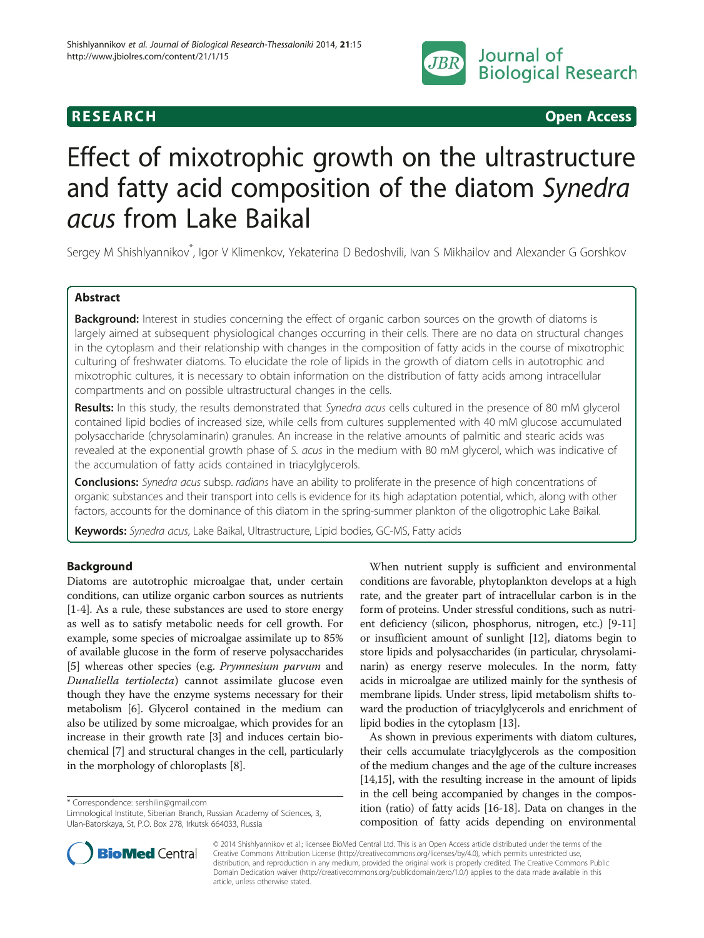

**RESEARCH CHINESEARCH CHINESEARCH CHINESE** 

# Effect of mixotrophic growth on the ultrastructure and fatty acid composition of the diatom Synedra acus from Lake Baikal

Sergey M Shishlyannikov<sup>\*</sup>, Igor V Klimenkov, Yekaterina D Bedoshvili, Ivan S Mikhailov and Alexander G Gorshkov

# Abstract

Background: Interest in studies concerning the effect of organic carbon sources on the growth of diatoms is largely aimed at subsequent physiological changes occurring in their cells. There are no data on structural changes in the cytoplasm and their relationship with changes in the composition of fatty acids in the course of mixotrophic culturing of freshwater diatoms. To elucidate the role of lipids in the growth of diatom cells in autotrophic and mixotrophic cultures, it is necessary to obtain information on the distribution of fatty acids among intracellular compartments and on possible ultrastructural changes in the cells.

Results: In this study, the results demonstrated that Synedra acus cells cultured in the presence of 80 mM glycerol contained lipid bodies of increased size, while cells from cultures supplemented with 40 mM glucose accumulated polysaccharide (chrysolaminarin) granules. An increase in the relative amounts of palmitic and stearic acids was revealed at the exponential growth phase of S. acus in the medium with 80 mM glycerol, which was indicative of the accumulation of fatty acids contained in triacylglycerols.

Conclusions: Synedra acus subsp. radians have an ability to proliferate in the presence of high concentrations of organic substances and their transport into cells is evidence for its high adaptation potential, which, along with other factors, accounts for the dominance of this diatom in the spring-summer plankton of the oligotrophic Lake Baikal.

Keywords: Synedra acus, Lake Baikal, Ultrastructure, Lipid bodies, GC-MS, Fatty acids

# Background

Diatoms are autotrophic microalgae that, under certain conditions, can utilize organic carbon sources as nutrients [[1-](#page-5-0)[4\]](#page-6-0). As a rule, these substances are used to store energy as well as to satisfy metabolic needs for cell growth. For example, some species of microalgae assimilate up to 85% of available glucose in the form of reserve polysaccharides [[5\]](#page-6-0) whereas other species (e.g. Prymnesium parvum and Dunaliella tertiolecta) cannot assimilate glucose even though they have the enzyme systems necessary for their metabolism [\[6\]](#page-6-0). Glycerol contained in the medium can also be utilized by some microalgae, which provides for an increase in their growth rate [[3\]](#page-5-0) and induces certain biochemical [[7\]](#page-6-0) and structural changes in the cell, particularly in the morphology of chloroplasts [[8](#page-6-0)].

\* Correspondence: [sershilin@gmail.com](mailto:sershilin@gmail.com)

Limnological Institute, Siberian Branch, Russian Academy of Sciences, 3, Ulan-Batorskaya, St, P.O. Box 278, Irkutsk 664033, Russia

When nutrient supply is sufficient and environmental conditions are favorable, phytoplankton develops at a high rate, and the greater part of intracellular carbon is in the form of proteins. Under stressful conditions, such as nutrient deficiency (silicon, phosphorus, nitrogen, etc.) [\[9](#page-6-0)-[11](#page-6-0)] or insufficient amount of sunlight [[12](#page-6-0)], diatoms begin to store lipids and polysaccharides (in particular, chrysolaminarin) as energy reserve molecules. In the norm, fatty acids in microalgae are utilized mainly for the synthesis of membrane lipids. Under stress, lipid metabolism shifts toward the production of triacylglycerols and enrichment of lipid bodies in the cytoplasm [\[13\]](#page-6-0).

As shown in previous experiments with diatom cultures, their cells accumulate triacylglycerols as the composition of the medium changes and the age of the culture increases [[14,15\]](#page-6-0), with the resulting increase in the amount of lipids in the cell being accompanied by changes in the composition (ratio) of fatty acids [[16](#page-6-0)-[18](#page-6-0)]. Data on changes in the composition of fatty acids depending on environmental



© 2014 Shishlyannikov et al.; licensee BioMed Central Ltd. This is an Open Access article distributed under the terms of the Creative Commons Attribution License (<http://creativecommons.org/licenses/by/4.0>), which permits unrestricted use, distribution, and reproduction in any medium, provided the original work is properly credited. The Creative Commons Public Domain Dedication waiver [\(http://creativecommons.org/publicdomain/zero/1.0/\)](http://creativecommons.org/publicdomain/zero/1.0/) applies to the data made available in this article, unless otherwise stated.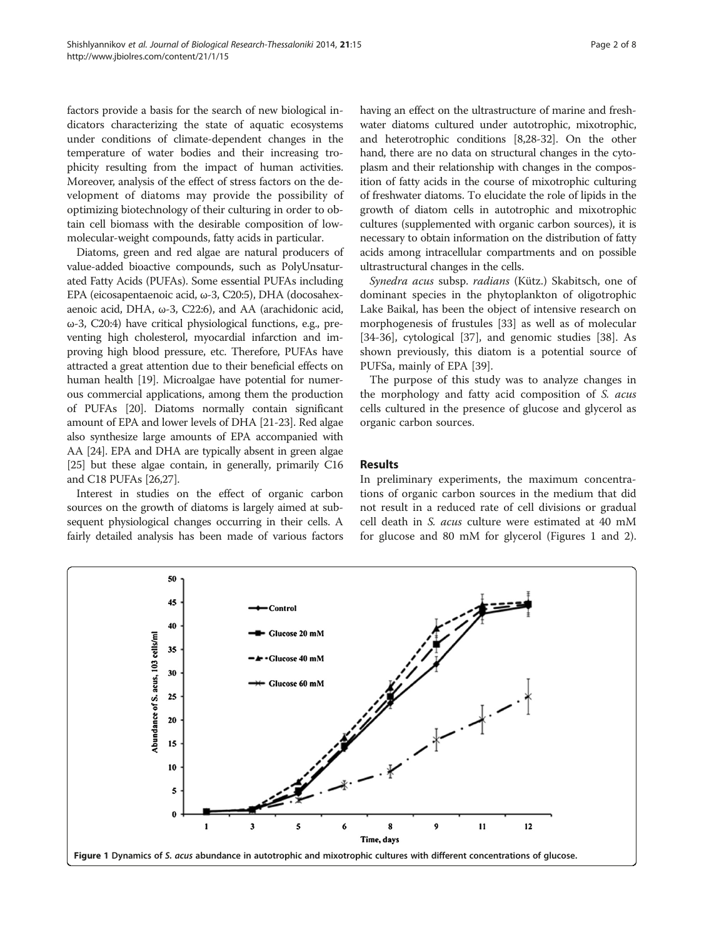factors provide a basis for the search of new biological indicators characterizing the state of aquatic ecosystems under conditions of climate-dependent changes in the temperature of water bodies and their increasing trophicity resulting from the impact of human activities. Moreover, analysis of the effect of stress factors on the development of diatoms may provide the possibility of optimizing biotechnology of their culturing in order to obtain cell biomass with the desirable composition of lowmolecular-weight compounds, fatty acids in particular.

Diatoms, green and red algae are natural producers of value-added bioactive compounds, such as PolyUnsaturated Fatty Acids (PUFAs). Some essential PUFAs including EPA (eicosapentaenoic acid, ω-3, C20:5), DHA (docosahexaenoic acid, DHA, ω-3, C22:6), and AA (arachidonic acid, ω-3, C20:4) have critical physiological functions, e.g., preventing high cholesterol, myocardial infarction and improving high blood pressure, etc. Therefore, PUFAs have attracted a great attention due to their beneficial effects on human health [[19](#page-6-0)]. Microalgae have potential for numerous commercial applications, among them the production of PUFAs [\[20\]](#page-6-0). Diatoms normally contain significant amount of EPA and lower levels of DHA [[21](#page-6-0)-[23](#page-6-0)]. Red algae also synthesize large amounts of EPA accompanied with AA [\[24\]](#page-6-0). EPA and DHA are typically absent in green algae [[25](#page-6-0)] but these algae contain, in generally, primarily C16 and C18 PUFAs [[26,27](#page-6-0)].

Interest in studies on the effect of organic carbon sources on the growth of diatoms is largely aimed at subsequent physiological changes occurring in their cells. A fairly detailed analysis has been made of various factors having an effect on the ultrastructure of marine and freshwater diatoms cultured under autotrophic, mixotrophic, and heterotrophic conditions [[8](#page-6-0),[28](#page-6-0)-[32](#page-6-0)]. On the other hand, there are no data on structural changes in the cytoplasm and their relationship with changes in the composition of fatty acids in the course of mixotrophic culturing of freshwater diatoms. To elucidate the role of lipids in the growth of diatom cells in autotrophic and mixotrophic cultures (supplemented with organic carbon sources), it is necessary to obtain information on the distribution of fatty acids among intracellular compartments and on possible ultrastructural changes in the cells.

Synedra acus subsp. radians (Kütz.) Skabitsch, one of dominant species in the phytoplankton of oligotrophic Lake Baikal, has been the object of intensive research on morphogenesis of frustules [\[33](#page-6-0)] as well as of molecular [[34-36](#page-6-0)], cytological [\[37](#page-6-0)], and genomic studies [[38\]](#page-6-0). As shown previously, this diatom is a potential source of PUFSa, mainly of EPA [\[39\]](#page-6-0).

The purpose of this study was to analyze changes in the morphology and fatty acid composition of S. acus cells cultured in the presence of glucose and glycerol as organic carbon sources.

# Results

In preliminary experiments, the maximum concentrations of organic carbon sources in the medium that did not result in a reduced rate of cell divisions or gradual cell death in S. acus culture were estimated at 40 mM for glucose and 80 mM for glycerol (Figures 1 and [2](#page-2-0)).

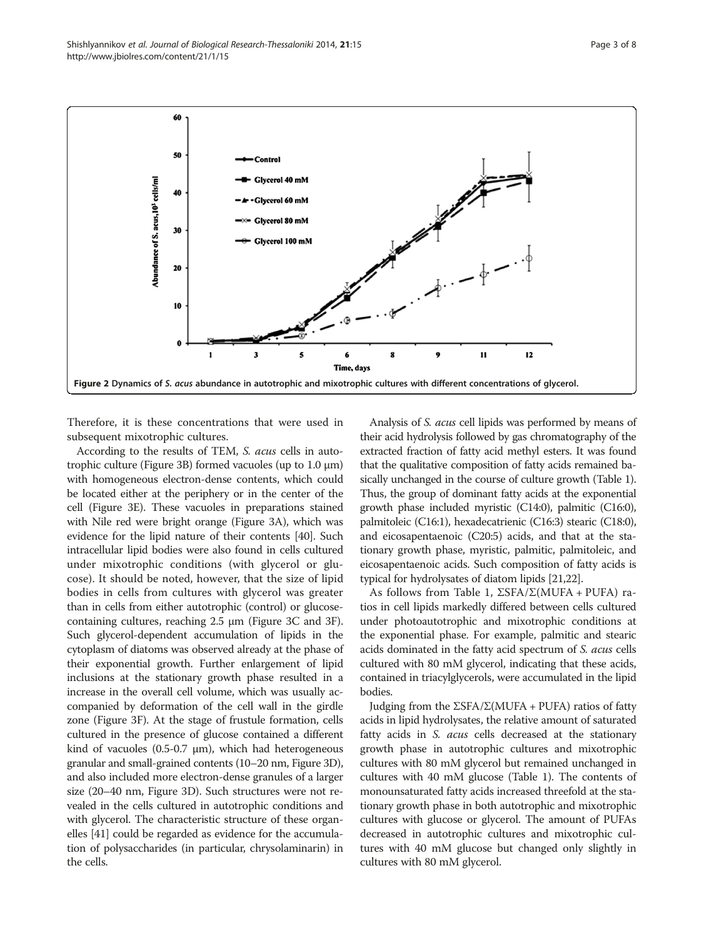Therefore, it is these concentrations that were used in subsequent mixotrophic cultures.

According to the results of TEM, S. acus cells in autotrophic culture (Figure [3](#page-3-0)B) formed vacuoles (up to 1.0 μm) with homogeneous electron-dense contents, which could be located either at the periphery or in the center of the cell (Figure [3E](#page-3-0)). These vacuoles in preparations stained with Nile red were bright orange (Figure [3](#page-3-0)A), which was evidence for the lipid nature of their contents [\[40\]](#page-6-0). Such intracellular lipid bodies were also found in cells cultured under mixotrophic conditions (with glycerol or glucose). It should be noted, however, that the size of lipid bodies in cells from cultures with glycerol was greater than in cells from either autotrophic (control) or glucosecontaining cultures, reaching 2.5 μm (Figure [3C](#page-3-0) and [3](#page-3-0)F). Such glycerol-dependent accumulation of lipids in the cytoplasm of diatoms was observed already at the phase of their exponential growth. Further enlargement of lipid inclusions at the stationary growth phase resulted in a increase in the overall cell volume, which was usually accompanied by deformation of the cell wall in the girdle zone (Figure [3F](#page-3-0)). At the stage of frustule formation, cells cultured in the presence of glucose contained a different kind of vacuoles  $(0.5-0.7 \mu m)$ , which had heterogeneous granular and small-grained contents (10–20 nm, Figure [3](#page-3-0)D), and also included more electron-dense granules of a larger size (20–40 nm, Figure [3](#page-3-0)D). Such structures were not revealed in the cells cultured in autotrophic conditions and with glycerol. The characteristic structure of these organelles [[41](#page-6-0)] could be regarded as evidence for the accumulation of polysaccharides (in particular, chrysolaminarin) in the cells.

Analysis of S. acus cell lipids was performed by means of their acid hydrolysis followed by gas chromatography of the extracted fraction of fatty acid methyl esters. It was found that the qualitative composition of fatty acids remained basically unchanged in the course of culture growth (Table [1](#page-3-0)). Thus, the group of dominant fatty acids at the exponential growth phase included myristic (C14:0), palmitic (C16:0), palmitoleic (C16:1), hexadecatrienic (C16:3) stearic (C18:0), and eicosapentaenoic (C20:5) acids, and that at the stationary growth phase, myristic, palmitic, palmitoleic, and eicosapentaenoic acids. Such composition of fatty acids is typical for hydrolysates of diatom lipids [\[21,22](#page-6-0)].

As follows from Table [1](#page-3-0),  $\Sigma$ SFA/ $\Sigma$ (MUFA + PUFA) ratios in cell lipids markedly differed between cells cultured under photoautotrophic and mixotrophic conditions at the exponential phase. For example, palmitic and stearic acids dominated in the fatty acid spectrum of S. acus cells cultured with 80 mM glycerol, indicating that these acids, contained in triacylglycerols, were accumulated in the lipid bodies.

Judging from the ΣSFA/Σ(MUFA + PUFA) ratios of fatty acids in lipid hydrolysates, the relative amount of saturated fatty acids in S. *acus* cells decreased at the stationary growth phase in autotrophic cultures and mixotrophic cultures with 80 mM glycerol but remained unchanged in cultures with 40 mM glucose (Table [1\)](#page-3-0). The contents of monounsaturated fatty acids increased threefold at the stationary growth phase in both autotrophic and mixotrophic cultures with glucose or glycerol. The amount of PUFAs decreased in autotrophic cultures and mixotrophic cultures with 40 mM glucose but changed only slightly in cultures with 80 mM glycerol.

<span id="page-2-0"></span>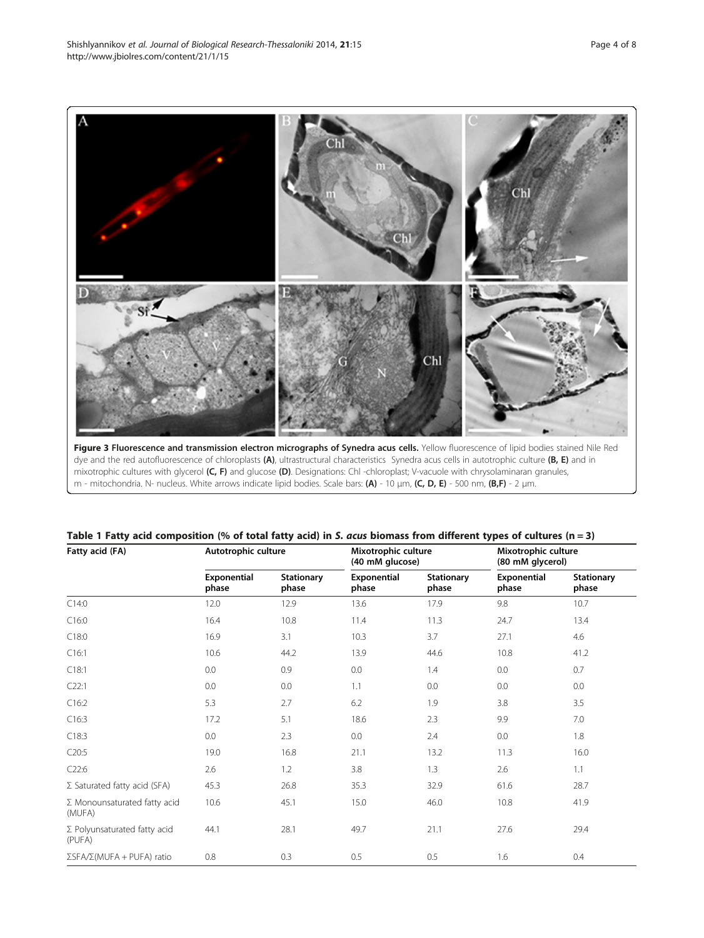Figure 3 Fluorescence and transmission electron micrographs of Synedra acus cells. Yellow fluorescence of lipid bodies stained Nile Red dye and the red autofluorescence of chloroplasts (A), ultrastructural characteristics Synedra acus cells in autotrophic culture (B, E) and in mixotrophic cultures with glycerol (C, F) and glucose (D). Designations: Chl -chloroplast; V-vacuole with chrysolaminaran granules, m - mitochondria. N- nucleus. White arrows indicate lipid bodies. Scale bars: (A) - 10 μm, (C, D, E) - 500 nm, (B,F) - 2 μm.

| Fatty acid (FA)                               | Autotrophic culture  |                            | Mixotrophic culture<br>(40 mM glucose) |                            | Mixotrophic culture<br>(80 mM glycerol) |                            |
|-----------------------------------------------|----------------------|----------------------------|----------------------------------------|----------------------------|-----------------------------------------|----------------------------|
|                                               | Exponential<br>phase | <b>Stationary</b><br>phase | Exponential<br>phase                   | <b>Stationary</b><br>phase | Exponential<br>phase                    | <b>Stationary</b><br>phase |
| C14:0                                         | 12.0                 | 12.9                       | 13.6                                   | 17.9                       | 9.8                                     | 10.7                       |
| C16:0                                         | 16.4                 | 10.8                       | 11.4                                   | 11.3                       | 24.7                                    | 13.4                       |
| C18:0                                         | 16.9                 | 3.1                        | 10.3                                   | 3.7                        | 27.1                                    | 4.6                        |
| C16:1                                         | 10.6                 | 44.2                       | 13.9                                   | 44.6                       | 10.8                                    | 41.2                       |
| C18:1                                         | 0.0                  | 0.9                        | 0.0                                    | 1.4                        | 0.0                                     | 0.7                        |
| C22:1                                         | 0.0                  | 0.0                        | 1.1                                    | 0.0                        | 0.0                                     | 0.0                        |
| C16:2                                         | 5.3                  | 2.7                        | 6.2                                    | 1.9                        | 3.8                                     | 3.5                        |
| C16:3                                         | 17.2                 | 5.1                        | 18.6                                   | 2.3                        | 9.9                                     | 7.0                        |
| C18:3                                         | 0.0                  | 2.3                        | 0.0                                    | 2.4                        | 0.0                                     | 1.8                        |
| C20:5                                         | 19.0                 | 16.8                       | 21.1                                   | 13.2                       | 11.3                                    | 16.0                       |
| C22:6                                         | 2.6                  | 1.2                        | 3.8                                    | 1.3                        | 2.6                                     | 1.1                        |
| $\Sigma$ Saturated fatty acid (SFA)           | 45.3                 | 26.8                       | 35.3                                   | 32.9                       | 61.6                                    | 28.7                       |
| $\Sigma$ Monounsaturated fatty acid<br>(MUFA) | 10.6                 | 45.1                       | 15.0                                   | 46.0                       | 10.8                                    | 41.9                       |
| $\Sigma$ Polyunsaturated fatty acid<br>(PUFA) | 44.1                 | 28.1                       | 49.7                                   | 21.1                       | 27.6                                    | 29.4                       |
| $\Sigma$ SFA/ $\Sigma$ (MUFA + PUFA) ratio    | 0.8                  | 0.3                        | 0.5                                    | 0.5                        | 1.6                                     | 0.4                        |

|  |  |  | Table 1 Fatty acid composition (% of total fatty acid) in S. acus biomass from different types of cultures (n = 3) |
|--|--|--|--------------------------------------------------------------------------------------------------------------------|
|--|--|--|--------------------------------------------------------------------------------------------------------------------|

<span id="page-3-0"></span>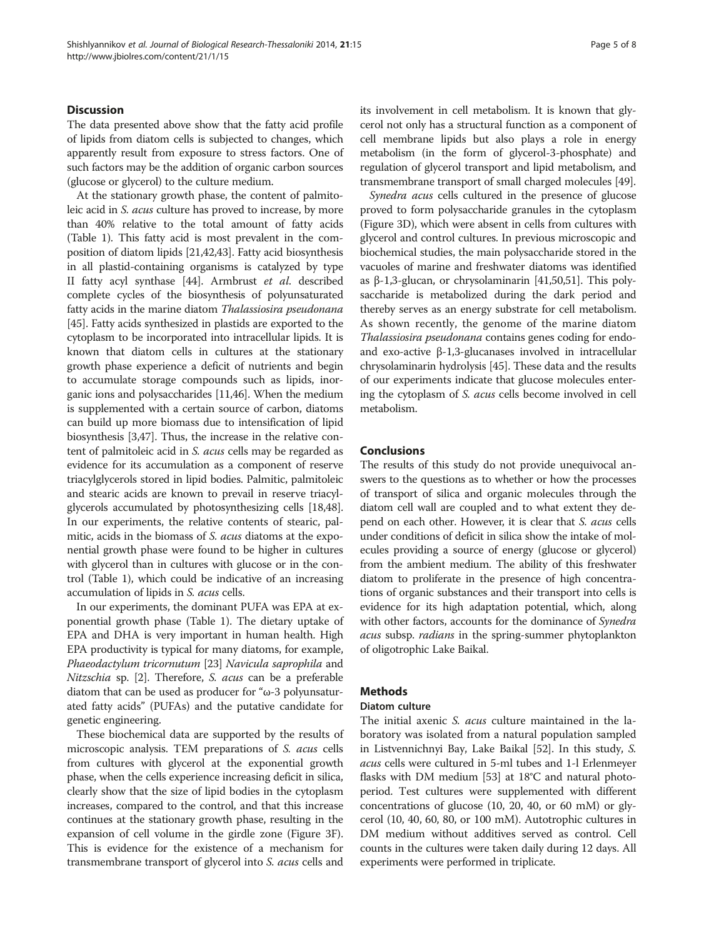# **Discussion**

The data presented above show that the fatty acid profile of lipids from diatom cells is subjected to changes, which apparently result from exposure to stress factors. One of such factors may be the addition of organic carbon sources (glucose or glycerol) to the culture medium.

At the stationary growth phase, the content of palmitoleic acid in S. acus culture has proved to increase, by more than 40% relative to the total amount of fatty acids (Table [1\)](#page-3-0). This fatty acid is most prevalent in the composition of diatom lipids [\[21,42,43](#page-6-0)]. Fatty acid biosynthesis in all plastid-containing organisms is catalyzed by type II fatty acyl synthase [\[44](#page-6-0)]. Armbrust et al. described complete cycles of the biosynthesis of polyunsaturated fatty acids in the marine diatom Thalassiosira pseudonana [[45](#page-6-0)]. Fatty acids synthesized in plastids are exported to the cytoplasm to be incorporated into intracellular lipids. It is known that diatom cells in cultures at the stationary growth phase experience a deficit of nutrients and begin to accumulate storage compounds such as lipids, inorganic ions and polysaccharides [\[11,46](#page-6-0)]. When the medium is supplemented with a certain source of carbon, diatoms can build up more biomass due to intensification of lipid biosynthesis [\[3](#page-5-0)[,47\]](#page-6-0). Thus, the increase in the relative content of palmitoleic acid in S. acus cells may be regarded as evidence for its accumulation as a component of reserve triacylglycerols stored in lipid bodies. Palmitic, palmitoleic and stearic acids are known to prevail in reserve triacylglycerols accumulated by photosynthesizing cells [\[18,48](#page-6-0)]. In our experiments, the relative contents of stearic, palmitic, acids in the biomass of S. acus diatoms at the exponential growth phase were found to be higher in cultures with glycerol than in cultures with glucose or in the control (Table [1\)](#page-3-0), which could be indicative of an increasing accumulation of lipids in S. acus cells.

In our experiments, the dominant PUFA was EPA at exponential growth phase (Table [1](#page-3-0)). The dietary uptake of EPA and DHA is very important in human health. High EPA productivity is typical for many diatoms, for example, Phaeodactylum tricornutum [[23](#page-6-0)] Navicula saprophila and Nitzschia sp. [[2](#page-5-0)]. Therefore, S. acus can be a preferable diatom that can be used as producer for "ω-3 polyunsaturated fatty acids" (PUFAs) and the putative candidate for genetic engineering.

These biochemical data are supported by the results of microscopic analysis. TEM preparations of S. acus cells from cultures with glycerol at the exponential growth phase, when the cells experience increasing deficit in silica, clearly show that the size of lipid bodies in the cytoplasm increases, compared to the control, and that this increase continues at the stationary growth phase, resulting in the expansion of cell volume in the girdle zone (Figure [3](#page-3-0)F). This is evidence for the existence of a mechanism for transmembrane transport of glycerol into S. acus cells and its involvement in cell metabolism. It is known that glycerol not only has a structural function as a component of cell membrane lipids but also plays a role in energy metabolism (in the form of glycerol-3-phosphate) and regulation of glycerol transport and lipid metabolism, and transmembrane transport of small charged molecules [\[49\]](#page-7-0).

Synedra acus cells cultured in the presence of glucose proved to form polysaccharide granules in the cytoplasm (Figure [3D](#page-3-0)), which were absent in cells from cultures with glycerol and control cultures. In previous microscopic and biochemical studies, the main polysaccharide stored in the vacuoles of marine and freshwater diatoms was identified as β-1,3-glucan, or chrysolaminarin [\[41,](#page-6-0)[50,51](#page-7-0)]. This polysaccharide is metabolized during the dark period and thereby serves as an energy substrate for cell metabolism. As shown recently, the genome of the marine diatom Thalassiosira pseudonana contains genes coding for еndoand exo-active β-1,3-glucanases involved in intracellular chrysolaminarin hydrolysis [\[45\]](#page-6-0). These data and the results of our experiments indicate that glucose molecules entering the cytoplasm of S. acus cells become involved in cell metabolism.

# Conclusions

The results of this study do not provide unequivocal answers to the questions as to whether or how the processes of transport of silica and organic molecules through the diatom cell wall are coupled and to what extent they depend on each other. However, it is clear that S. acus cells under conditions of deficit in silica show the intake of molecules providing a source of energy (glucose or glycerol) from the ambient medium. The ability of this freshwater diatom to proliferate in the presence of high concentrations of organic substances and their transport into cells is evidence for its high adaptation potential, which, along with other factors, accounts for the dominance of *Synedra* acus subsp. radians in the spring-summer phytoplankton of oligotrophic Lake Baikal.

# Methods

#### Diatom culture

The initial axenic *S. acus* culture maintained in the laboratory was isolated from a natural population sampled in Listvennichnyi Bay, Lake Baikal [\[52\]](#page-7-0). In this study, S. acus cells were cultured in 5-ml tubes and 1-l Erlenmeyer flasks with DM medium [\[53\]](#page-7-0) at 18°C and natural photoperiod. Test cultures were supplemented with different concentrations of glucose (10, 20, 40, or 60 mM) or glycerol (10, 40, 60, 80, or 100 mM). Autotrophic cultures in DM medium without additives served as control. Cell counts in the cultures were taken daily during 12 days. All experiments were performed in triplicate.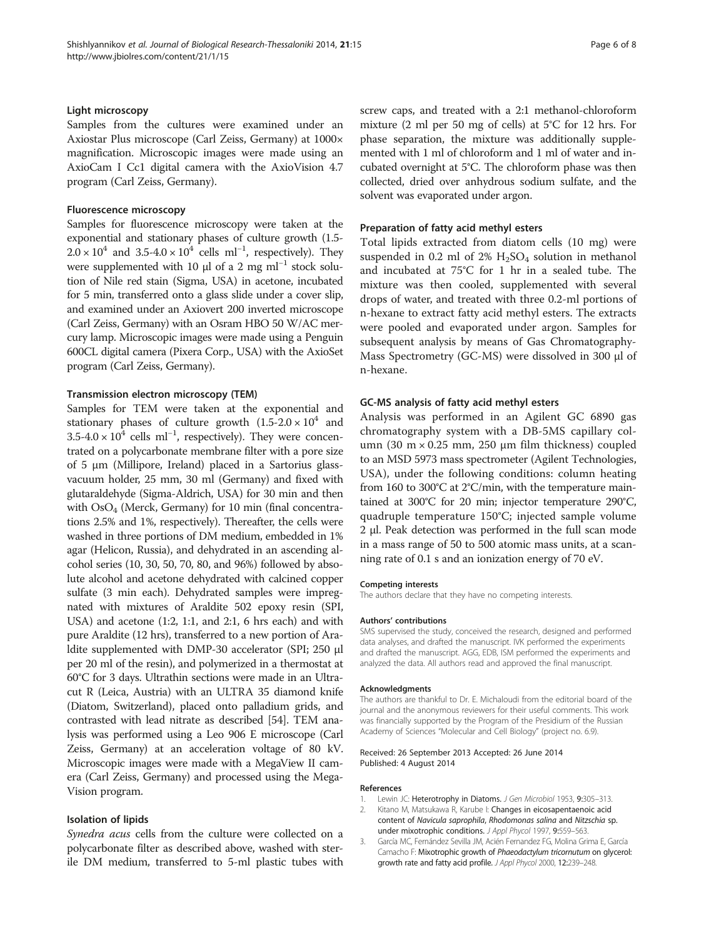#### <span id="page-5-0"></span>Light microscopy

Samples from the cultures were examined under an Axiostar Plus microscope (Carl Zeiss, Germany) at 1000× magnification. Microscopic images were made using an AxioCam I Cc1 digital camera with the AxioVision 4.7 program (Carl Zeiss, Germany).

## Fluorescence microscopy

Samples for fluorescence microscopy were taken at the exponential and stationary phases of culture growth (1.5-  $2.0 \times 10^4$  and  $3.5-4.0 \times 10^4$  cells ml<sup>-1</sup>, respectively). They were supplemented with 10  $\mu$ l of a 2 mg ml<sup>-1</sup> stock solution of Nile red stain (Sigma, USA) in acetone, incubated for 5 min, transferred onto a glass slide under a cover slip, and examined under an Axiovert 200 inverted microscope (Carl Zeiss, Germany) with an Osram HBO 50 W/AC mercury lamp. Microscopic images were made using a Penguin 600CL digital camera (Pixera Corp., USA) with the AxioSet program (Carl Zeiss, Germany).

#### Transmission electron microscopy (TEM)

Samples for TEM were taken at the exponential and stationary phases of culture growth  $(1.5{\text -}2.0 \times 10^4)$  and  $3.5-4.0 \times 10^4$  cells ml<sup>-1</sup>, respectively). They were concentrated on a polycarbonate membrane filter with a pore size of 5 μm (Millipore, Ireland) placed in a Sartorius glassvacuum holder, 25 mm, 30 ml (Germany) and fixed with glutaraldehyde (Sigma-Aldrich, USA) for 30 min and then with  $OsO<sub>4</sub>$  (Merck, Germany) for 10 min (final concentrations 2.5% and 1%, respectively). Thereafter, the cells were washed in three portions of DM medium, embedded in 1% agar (Helicon, Russia), and dehydrated in an ascending alcohol series (10, 30, 50, 70, 80, and 96%) followed by absolute alcohol and acetone dehydrated with calcined copper sulfate (3 min each). Dehydrated samples were impregnated with mixtures of Araldite 502 epoxy resin (SPI, USA) and acetone (1:2, 1:1, and 2:1, 6 hrs each) and with pure Araldite (12 hrs), transferred to a new portion of Araldite supplemented with DMP-30 accelerator (SPI; 250 μl per 20 ml of the resin), and polymerized in a thermostat at 60°C for 3 days. Ultrathin sections were made in an Ultracut R (Leica, Austria) with an ULTRA 35 diamond knife (Diatom, Switzerland), placed onto palladium grids, and contrasted with lead nitrate as described [[54](#page-7-0)]. TEM analysis was performed using a Leo 906 E microscope (Carl Zeiss, Germany) at an acceleration voltage of 80 kV. Microscopic images were made with a MegaView II camera (Carl Zeiss, Germany) and processed using the Mega-Vision program.

## Isolation of lipids

Synedra acus cells from the culture were collected on a polycarbonate filter as described above, washed with sterile DM medium, transferred to 5-ml plastic tubes with screw caps, and treated with a 2:1 methanol-chloroform mixture (2 ml per 50 mg of cells) at 5°C for 12 hrs. For phase separation, the mixture was additionally supplemented with 1 ml of chloroform and 1 ml of water and incubated overnight at 5°С. The chloroform phase was then collected, dried over anhydrous sodium sulfate, and the solvent was evaporated under argon.

#### Preparation of fatty acid methyl esters

Total lipids extracted from diatom cells (10 mg) were suspended in 0.2 ml of  $2\%$  H<sub>2</sub>SO<sub>4</sub> solution in methanol and incubated at 75°C for 1 hr in a sealed tube. The mixture was then cooled, supplemented with several drops of water, and treated with three 0.2-ml portions of n-hexane to extract fatty acid methyl esters. The extracts were pooled and evaporated under argon. Samples for subsequent analysis by means of Gas Chromatography-Mass Spectrometry (GC-MS) were dissolved in 300 μl of n-hexane.

#### GC-MS analysis of fatty acid methyl esters

Analysis was performed in an Agilent GC 6890 gas chromatography system with a DB-5MS capillary column (30 m  $\times$  0.25 mm, 250 µm film thickness) coupled to an MSD 5973 mass spectrometer (Agilent Technologies, USA), under the following conditions: column heating from 160 to 300°C at 2°C/min, with the temperature maintained at 300°C for 20 min; injector temperature 290°C, quadruple temperature 150°C; injected sample volume 2 μl. Peak detection was performed in the full scan mode in a mass range of 50 to 500 atomic mass units, at a scanning rate of 0.1 s and an ionization energy of 70 eV.

#### Competing interests

The authors declare that they have no competing interests.

#### Authors' contributions

SMS supervised the study, conceived the research, designed and performed data analyses, and drafted the manuscript. IVK performed the experiments and drafted the manuscript. AGG, EDB, ISM performed the experiments and analyzed the data. All authors read and approved the final manuscript.

#### Acknowledgments

The authors are thankful to Dr. E. Michaloudi from the editorial board of the journal and the anonymous reviewers for their useful comments. This work was financially supported by the Program of the Presidium of the Russian Academy of Sciences "Molecular and Cell Biology" (project no. 6.9).

#### Received: 26 September 2013 Accepted: 26 June 2014 Published: 4 August 2014

#### References

- Lewin JC: Heterotrophy in Diatoms. J Gen Microbiol 1953, 9:305-313.
- 2. Kitano M, Matsukawa R, Karube I: Changes in eicosapentaenoic acid content of Navicula saprophila, Rhodomonas salina and Nitzschia sp. under mixotrophic conditions. J Appl Phycol 1997, 9:559-563.
- 3. García MC, Fernández Sevilla JM, Acién Fernandez FG, Molina Grima E, García Camacho F: Mixotrophic growth of Phaeodactylum tricornutum on glycerol: growth rate and fatty acid profile. J Appl Phycol 2000, 12:239-248.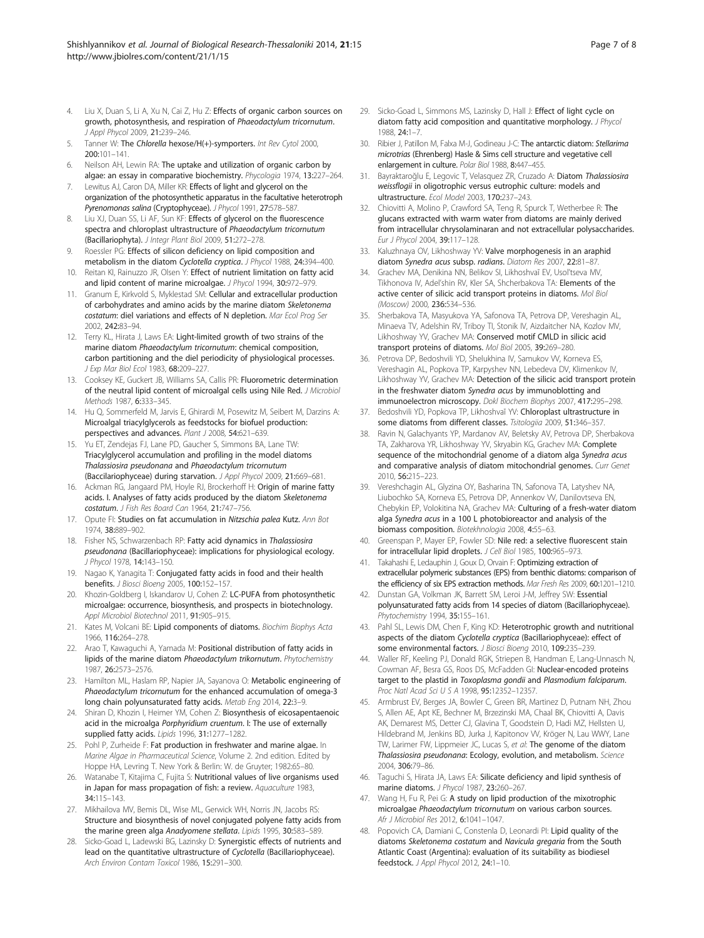- <span id="page-6-0"></span>4. Liu X, Duan S, Li A, Xu N, Cai Z, Hu Z: Effects of organic carbon sources on growth, photosynthesis, and respiration of Phaeodactylum tricornutum. J Appl Phycol 2009, 21:239–246.
- Tanner W: The Chlorella hexose/H(+)-symporters. Int Rev Cytol 2000, 200:101–141.
- Neilson AH, Lewin RA: The uptake and utilization of organic carbon by algae: an essay in comparative biochemistry. Phycologia 1974, 13:227–264.
- Lewitus AJ, Caron DA, Miller KR: Effects of light and glycerol on the organization of the photosynthetic apparatus in the facultative heterotroph Pyrenomonas salina (Cryptophyceae). J Phycol 1991, 27:578-587.
- 8. Liu XJ, Duan SS, Li AF, Sun KF: Effects of glycerol on the fluorescence spectra and chloroplast ultrastructure of Phaeodactylum tricornutum (Bacillariophyta). J Integr Plant Biol 2009, 51:272–278.
- 9. Roessler PG: Effects of silicon deficiency on lipid composition and metabolism in the diatom Cyclotella cryptica. J Phycol 1988, 24:394–400.
- 10. Reitan KI, Rainuzzo JR, Olsen Y: Effect of nutrient limitation on fatty acid and lipid content of marine microalgae. J Phycol 1994, 30:972-979.
- 11. Granum E, Kirkvold S, Myklestad SM: Cellular and extracellular production of carbohydrates and amino acids by the marine diatom Skeletonema costatum: diel variations and effects of N depletion. Mar Ecol Prog Ser 2002, 242:83–94.
- 12. Terry KL, Hirata J, Laws EA: Light-limited growth of two strains of the marine diatom Phaeodactylum tricornutum: chemical composition, carbon partitioning and the diel periodicity of physiological processes. J Exp Mar Biol Ecol 1983, 68:209-227.
- 13. Cooksey KE, Guckert JB, Williams SA, Callis PR: Fluorometric determination of the neutral lipid content of microalgal cells using Nile Red. J Microbiol Methods 1987, 6:333–345.
- 14. Hu Q, Sommerfeld M, Jarvis E, Ghirardi M, Posewitz M, Seibert M, Darzins A: Microalgal triacylglycerols as feedstocks for biofuel production: perspectives and advances. Plant J 2008, 54:621-639.
- 15. Yu ET, Zendejas FJ, Lane PD, Gaucher S, Simmons BA, Lane TW: Triacylglycerol accumulation and profiling in the model diatoms Thalassiosira pseudonana and Phaeodactylum tricornutum (Baccilariophyceae) during starvation. J Appl Phycol 2009, 21:669–681.
- 16. Ackman RG, Jangaard PM, Hoyle RJ, Brockerhoff H: Origin of marine fatty acids. I. Analyses of fatty acids produced by the diatom Skeletonema costatum. J Fish Res Board Can 1964, 21:747–756.
- 17. Opute FI: Studies on fat accumulation in Nitzschia palea Kutz. Ann Bot 1974, 38:889–902.
- 18. Fisher NS, Schwarzenbach RP: Fatty acid dynamics in Thalassiosira pseudonana (Bacillariophyceae): implications for physiological ecology. J Phycol 1978, 14:143–150.
- 19. Nagao K, Yanagita T: Conjugated fatty acids in food and their health benefits. J Biosci Bioeng 2005, 100:152–157.
- 20. Khozin-Goldberg I, Iskandarov U, Cohen Z: LC-PUFA from photosynthetic microalgae: occurrence, biosynthesis, and prospects in biotechnology. Appl Microbiol Biotechnol 2011, 91:905–915.
- 21. Kates M, Volcani BE: Lipid components of diatoms. Biochim Biophys Acta 1966, 116:264–278.
- 22. Arao T, Kawaguchi A, Yamada M: Positional distribution of fattv acids in lipids of the marine diatom Phaeodactylum trikornutum. Phytochemistry 1987, 26:2573–2576.
- 23. Hamilton ML, Haslam RP, Napier JA, Sayanova O: Metabolic engineering of Phaeodactylum tricornutum for the enhanced accumulation of omega-3 long chain polyunsaturated fatty acids. Metab Eng 2014, 22:3–9.
- 24. Shiran D, Khozin I, Heimer YM, Cohen Z: Biosynthesis of eicosapentaenoic acid in the microalga Porphyridium cruentum. I: The use of externally supplied fatty acids. Lipids 1996, 31:1277–1282.
- 25. Pohl P, Zurheide F: Fat production in freshwater and marine algae. In Marine Algae in Pharmaceutical Science, Volume 2. 2nd edition. Edited by Hoppe HA, Levring T. New York & Berlin: W. de Gruyter; 1982:65–80.
- 26. Watanabe T, Kitajima C, Fujita S: Nutritional values of live organisms used in Japan for mass propagation of fish: a review. Aquaculture 1983, 34:115–143.
- 27. Mikhailova MV, Bemis DL, Wise ML, Gerwick WH, Norris JN, Jacobs RS: Structure and biosynthesis of novel conjugated polyene fatty acids from the marine green alga Anadyomene stellata. Lipids 1995, 30:583-589.
- 28. Sicko-Goad L, Ladewski BG, Lazinsky D: Synergistic effects of nutrients and lead on the quantitative ultrastructure of Cyclotella (Bacillariophyceae). Arch Environ Contam Toxicol 1986, 15:291–300.
- 29. Sicko-Goad L, Simmons MS, Lazinsky D, Hall J: Effect of light cycle on diatom fatty acid composition and quantitative morphology. J Phycol 1988, 24:1–7.
- 30. Ribier J, Patillon M, Falxa M-J, Godineau J-C: The antarctic diatom: Stellarima microtrias (Ehrenberg) Hasle & Sims cell structure and vegetative cell enlargement in culture. Polar Biol 1988, 8:447–455.
- 31. Bayraktaroğlu E, Legovic T, Velasquez ZR, Cruzado A: Diatom Thalassiosira weissflogii in oligotrophic versus eutrophic culture: models and ultrastructure. Ecol Model 2003, 170:237–243.
- 32. Chiovitti A, Molino P, Crawford SA, Teng R, Spurck T, Wetherbee R: The glucans extracted with warm water from diatoms are mainly derived from intracellular chrysolaminaran and not extracellular polysaccharides. Eur J Phycol 2004, 39:117–128.
- 33. Kaluzhnaya OV, Likhoshway YV: Valve morphogenesis in an araphid diatom Synedra acus subsp. radians. Diatom Res 2007, 22:81-87.
- 34. Grachev MA, Denikina NN, Belikov SI, Likhoshvaĭ EV, Usoľtseva MV, Tikhonova IV, Adel'shin RV, Kler SA, Shcherbakova TA: Elements of the active center of silicic acid transport proteins in diatoms. Mol Biol (Moscow) 2000, 236:534–536.
- 35. Sherbakova TA, Masyukova YA, Safonova TA, Petrova DP, Vereshagin AL, Minaeva TV, Adelshin RV, Triboy TI, Stonik IV, Aizdaitcher NA, Kozlov MV, Likhoshway YV, Grachev MA: Conserved motif CMLD in silicic acid transport proteins of diatoms. Mol Biol 2005, 39:269–280.
- 36. Petrova DP, Bedoshvili YD, Shelukhina IV, Samukov VV, Korneva ES, Vereshagin AL, Popkova TP, Karpyshev NN, Lebedeva DV, Klimenkov IV, Likhoshway YV, Grachev MA: Detection of the silicic acid transport protein in the freshwater diatom Synedra acus by immunoblotting and immunoelectron microscopy. Dokl Biochem Biophys 2007, 417:295–298.
- 37. Bedoshvili YD, Popkova TP, Likhoshvaĭ YV: Chloroplast ultrastructure in some diatoms from different classes. Tsitologiia 2009, 51:346-357.
- 38. Ravin N, Galachyants YP, Mardanov AV, Beletsky AV, Petrova DP, Sherbakova TA, Zakharova YR, Likhoshway YV, Skryabin KG, Grachev MA: Complete sequence of the mitochondrial genome of a diatom alga Synedra acus and comparative analysis of diatom mitochondrial genomes. Curr Genet 2010, 56:215–223.
- 39. Vereshchagin AL, Glyzina OY, Basharina TN, Safonova TA, Latyshev NA, Liubochko SA, Korneva ES, Petrova DP, Annenkov VV, Danilovtseva EN, Chebykin EP, Volokitina NA, Grachev MA: Culturing of a fresh-water diatom alga Synedra acus in a 100 L photobioreactor and analysis of the biomass composition. Biotekhnologia 2008, 4:55–63.
- 40. Greenspan P, Mayer EP, Fowler SD: Nile red: a selective fluorescent stain for intracellular lipid droplets. J Cell Biol 1985, 100:965–973.
- 41. Takahashi E, Ledauphin J, Goux D, Orvain F: Optimizing extraction of extracellular polymeric substances (EPS) from benthic diatoms: comparison of the efficiency of six EPS extraction methods. Mar Fresh Res 2009, 60:1201–1210.
- 42. Dunstan GA, Volkman JK, Barrett SM, Leroi J-M, Jeffrey SW: Essential polyunsaturated fatty acids from 14 species of diatom (Bacillariophyceae). Phytochemistry 1994, 35:155–161.
- 43. Pahl SL, Lewis DM, Chen F, King KD: Heterotrophic growth and nutritional aspects of the diatom Cyclotella cryptica (Bacillariophyceae): effect of some environmental factors. J Biosci Bioeng 2010, 109:235–239.
- 44. Waller RF, Keeling PJ, Donald RGK, Striepen B, Handman E, Lang-Unnasch N, Cowman AF, Besra GS, Roos DS, McFadden GI: Nuclear-encoded proteins target to the plastid in Toxoplasma gondii and Plasmodium falciparum. Proc Natl Acad Sci U S A 1998, 95:12352–12357.
- 45. Armbrust EV, Berges JA, Bowler C, Green BR, Martinez D, Putnam NH, Zhou S, Allen AE, Apt KE, Bechner M, Brzezinski MA, Chaal BK, Chiovitti A, Davis AK, Demarest MS, Detter CJ, Glavina T, Goodstein D, Hadi MZ, Hellsten U, Hildebrand M, Jenkins BD, Jurka J, Kapitonov VV, Kröger N, Lau WWY, Lane TW, Larimer FW, Lippmeier JC, Lucas S, et al: The genome of the diatom Thalassiosira pseudonana: Ecology, evolution, and metabolism. Science 2004, 306:79–86.
- 46. Taguchi S, Hirata JA, Laws EA: Silicate deficiency and lipid synthesis of marine diatoms. J Phycol 1987, 23:260-267
- 47. Wang H, Fu R, Pei G: A study on lipid production of the mixotrophic microalgae Phaeodactylum tricornutum on various carbon sources. Afr J Microbiol Res 2012, 6:1041–1047.
- 48. Popovich CA, Damiani C, Constenla D, Leonardi PI: Lipid quality of the diatoms Skeletonema costatum and Navicula gregaria from the South Atlantic Coast (Argentina): evaluation of its suitability as biodiesel feedstock. J Appl Phycol 2012, 24:1-10.